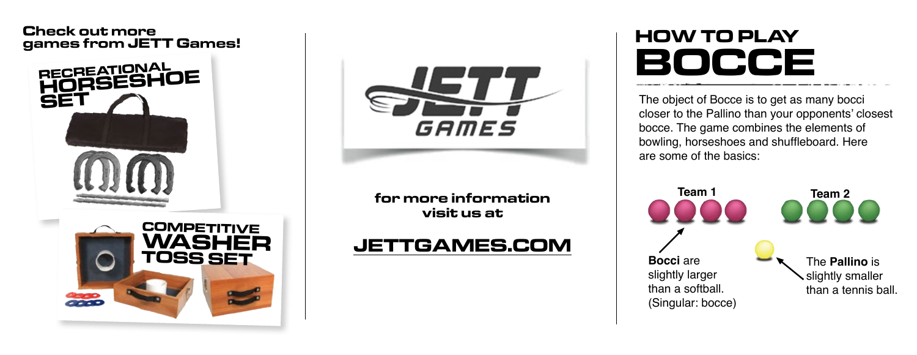#### **Check out more games from JETT Games!**





**for more information visit us at**

## **JETTGAMES.COM**

# **HOW TO PLAY BOCCE**

The object of Bocce is to get as many bocci closer to the Pallino than your opponents' closest bocce. The game combines the elements of bowling, horseshoes and shuffleboard. Here are some of the basics: